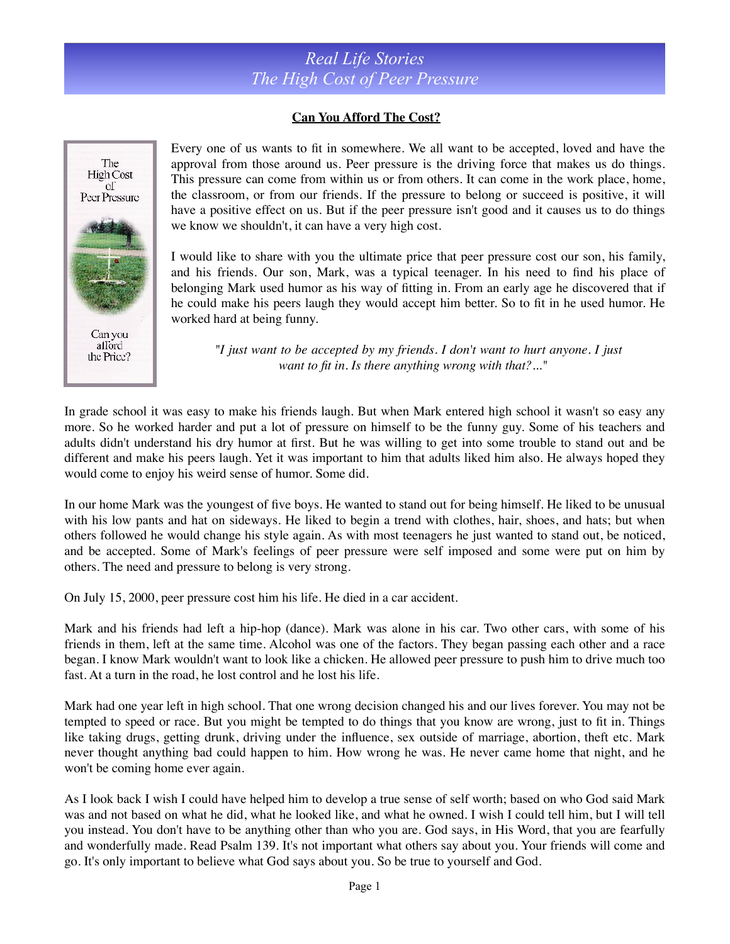## *Real Life Stories The High Cost of Peer Pressure*

## **Can You Afford The Cost?**



Every one of us wants to fit in somewhere. We all want to be accepted, loved and have the approval from those around us. Peer pressure is the driving force that makes us do things. This pressure can come from within us or from others. It can come in the work place, home, the classroom, or from our friends. If the pressure to belong or succeed is positive, it will have a positive effect on us. But if the peer pressure isn't good and it causes us to do things we know we shouldn't, it can have a very high cost.

I would like to share with you the ultimate price that peer pressure cost our son, his family, and his friends. Our son, Mark, was a typical teenager. In his need to find his place of belonging Mark used humor as his way of fitting in. From an early age he discovered that if he could make his peers laugh they would accept him better. So to fit in he used humor. He worked hard at being funny.

*"I just want to be accepted by my friends. I don't want to hurt anyone. I just want to fit in. Is there anything wrong with that?..."*

In grade school it was easy to make his friends laugh. But when Mark entered high school it wasn't so easy any more. So he worked harder and put a lot of pressure on himself to be the funny guy. Some of his teachers and adults didn't understand his dry humor at first. But he was willing to get into some trouble to stand out and be different and make his peers laugh. Yet it was important to him that adults liked him also. He always hoped they would come to enjoy his weird sense of humor. Some did.

In our home Mark was the youngest of five boys. He wanted to stand out for being himself. He liked to be unusual with his low pants and hat on sideways. He liked to begin a trend with clothes, hair, shoes, and hats; but when others followed he would change his style again. As with most teenagers he just wanted to stand out, be noticed, and be accepted. Some of Mark's feelings of peer pressure were self imposed and some were put on him by others. The need and pressure to belong is very strong.

On July 15, 2000, peer pressure cost him his life. He died in a car accident.

Mark and his friends had left a hip-hop (dance). Mark was alone in his car. Two other cars, with some of his friends in them, left at the same time. Alcohol was one of the factors. They began passing each other and a race began. I know Mark wouldn't want to look like a chicken. He allowed peer pressure to push him to drive much too fast. At a turn in the road, he lost control and he lost his life.

Mark had one year left in high school. That one wrong decision changed his and our lives forever. You may not be tempted to speed or race. But you might be tempted to do things that you know are wrong, just to fit in. Things like taking drugs, getting drunk, driving under the influence, sex outside of marriage, abortion, theft etc. Mark never thought anything bad could happen to him. How wrong he was. He never came home that night, and he won't be coming home ever again.

As I look back I wish I could have helped him to develop a true sense of self worth; based on who God said Mark was and not based on what he did, what he looked like, and what he owned. I wish I could tell him, but I will tell you instead. You don't have to be anything other than who you are. God says, in His Word, that you are fearfully and wonderfully made. Read Psalm 139. It's not important what others say about you. Your friends will come and go. It's only important to believe what God says about you. So be true to yourself and God.